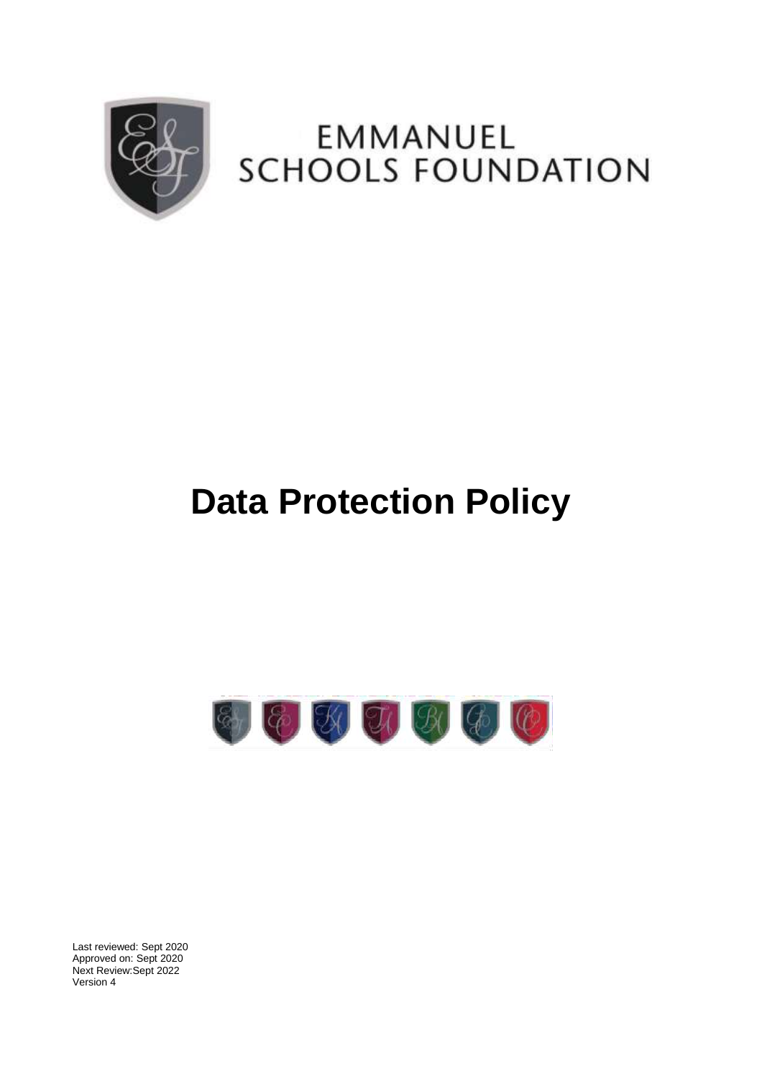

## EMMANUEL **SCHOOLS FOUNDATION**

# **Data Protection Policy**



Last reviewed: Sept 2020 Approved on: Sept 2020 Next Review:Sept 2022 Version 4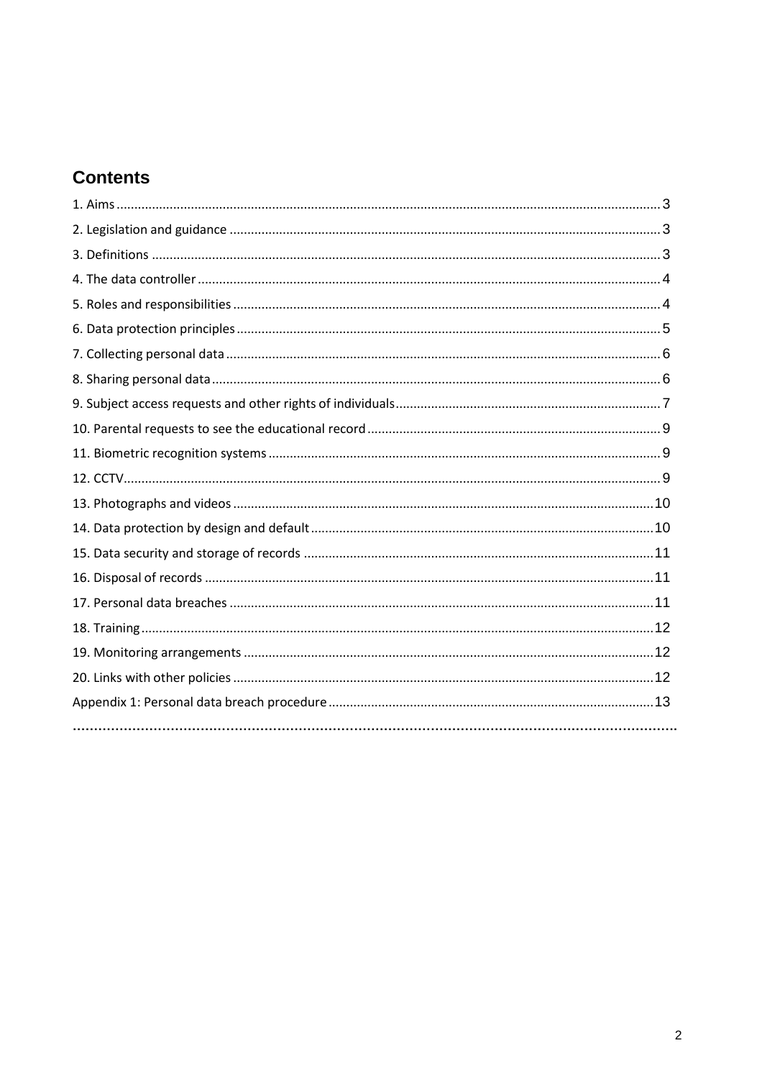### **Contents**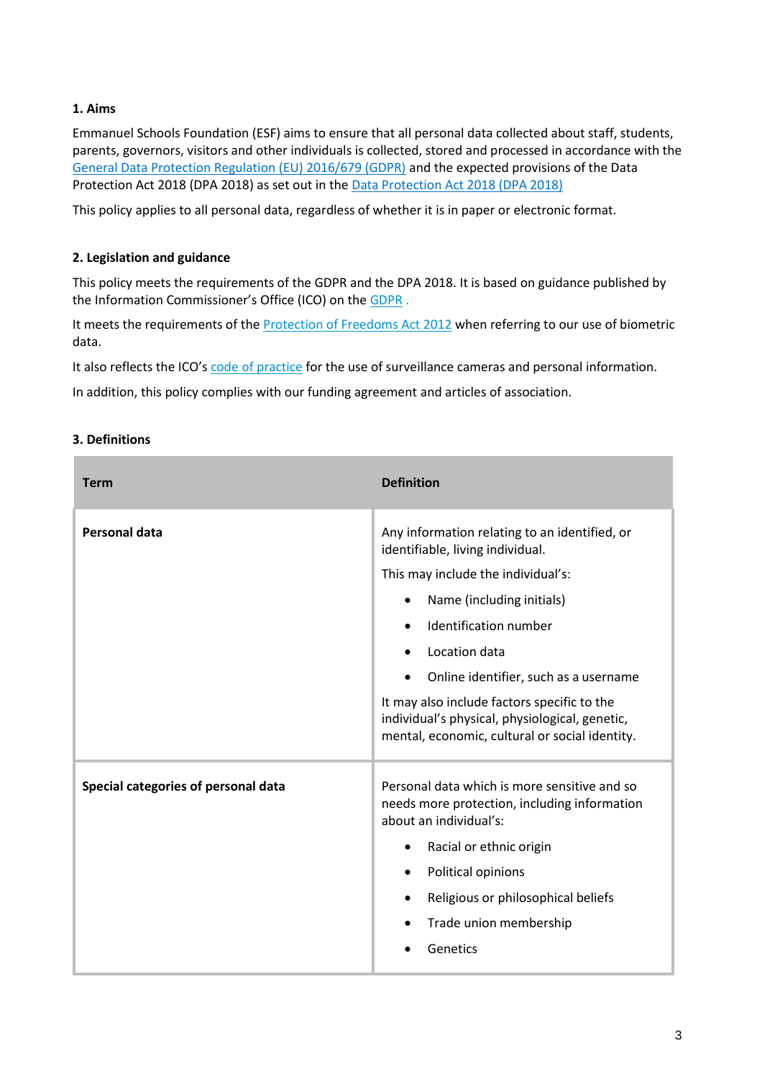#### <span id="page-2-0"></span>**1. Aims**

Emmanuel Schools Foundation (ESF) aims to ensure that all personal data collected about staff, students, parents, governors, visitors and other individuals is collected, stored and processed in accordance with the [General Data Protection Regulation \(EU\) 2016/679 \(GDPR\)](https://eur-lex.europa.eu/legal-content/EN/TXT/?qid=1528874672298&uri=CELEX:02016R0679-20160504) and the expected provisions of the Data Protection Act 2018 (DPA 2018) as set out in the [Data Protection Act 2018 \(DPA 2018\)](http://www.legislation.gov.uk/ukpga/2018/12/contents/enacted)

This policy applies to all personal data, regardless of whether it is in paper or electronic format.

#### <span id="page-2-1"></span>**2. Legislation and guidance**

This policy meets the requirements of the GDPR and the DPA 2018. It is based on guidance published by the Information Commissioner's Office (ICO) on the [GDPR](https://ico.org.uk/for-organisations/guide-to-the-general-data-protection-regulation-gdpr/individual-rights/right-to-be-informed/) .

It meets the requirements of th[e Protection of Freedoms Act 2012](https://www.legislation.gov.uk/ukpga/2012/9/part/1/chapter/2) when referring to our use of biometric data.

It also reflects the ICO's [code of practice](https://ico.org.uk/media/for-organisations/documents/1542/cctv-code-of-practice.pdf) for the use of surveillance cameras and personal information.

In addition, this policy complies with our funding agreement and articles of association.

#### <span id="page-2-2"></span>**3. Definitions**

| <b>Term</b>                         | <b>Definition</b>                                                                                                                               |
|-------------------------------------|-------------------------------------------------------------------------------------------------------------------------------------------------|
| <b>Personal data</b>                | Any information relating to an identified, or<br>identifiable, living individual.                                                               |
|                                     | This may include the individual's:                                                                                                              |
|                                     | Name (including initials)<br>$\bullet$                                                                                                          |
|                                     | Identification number                                                                                                                           |
|                                     | Location data                                                                                                                                   |
|                                     | Online identifier, such as a username                                                                                                           |
|                                     | It may also include factors specific to the<br>individual's physical, physiological, genetic,<br>mental, economic, cultural or social identity. |
| Special categories of personal data | Personal data which is more sensitive and so<br>needs more protection, including information<br>about an individual's:                          |
|                                     | Racial or ethnic origin<br>$\bullet$                                                                                                            |
|                                     | Political opinions<br>$\bullet$                                                                                                                 |
|                                     | Religious or philosophical beliefs                                                                                                              |
|                                     | Trade union membership                                                                                                                          |
|                                     | Genetics                                                                                                                                        |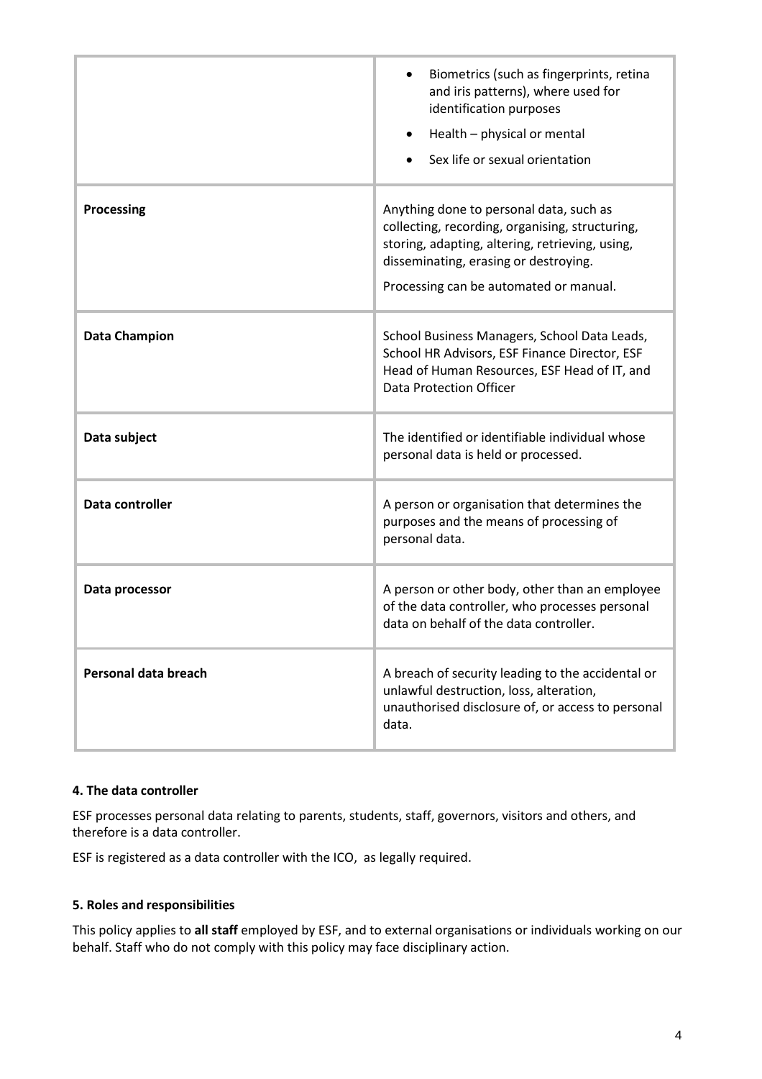|                      | Biometrics (such as fingerprints, retina<br>and iris patterns), where used for<br>identification purposes<br>Health - physical or mental<br>$\bullet$<br>Sex life or sexual orientation                                          |
|----------------------|----------------------------------------------------------------------------------------------------------------------------------------------------------------------------------------------------------------------------------|
| <b>Processing</b>    | Anything done to personal data, such as<br>collecting, recording, organising, structuring,<br>storing, adapting, altering, retrieving, using,<br>disseminating, erasing or destroying.<br>Processing can be automated or manual. |
| <b>Data Champion</b> | School Business Managers, School Data Leads,<br>School HR Advisors, ESF Finance Director, ESF<br>Head of Human Resources, ESF Head of IT, and<br>Data Protection Officer                                                         |
| Data subject         | The identified or identifiable individual whose<br>personal data is held or processed.                                                                                                                                           |
| Data controller      | A person or organisation that determines the<br>purposes and the means of processing of<br>personal data.                                                                                                                        |
| Data processor       | A person or other body, other than an employee<br>of the data controller, who processes personal<br>data on behalf of the data controller.                                                                                       |
| Personal data breach | A breach of security leading to the accidental or<br>unlawful destruction, loss, alteration,<br>unauthorised disclosure of, or access to personal<br>data.                                                                       |

#### <span id="page-3-0"></span>**4. The data controller**

ESF processes personal data relating to parents, students, staff, governors, visitors and others, and therefore is a data controller.

ESF is registered as a data controller with the ICO, as legally required.

#### <span id="page-3-1"></span>**5. Roles and responsibilities**

This policy applies to **all staff** employed by ESF, and to external organisations or individuals working on our behalf. Staff who do not comply with this policy may face disciplinary action.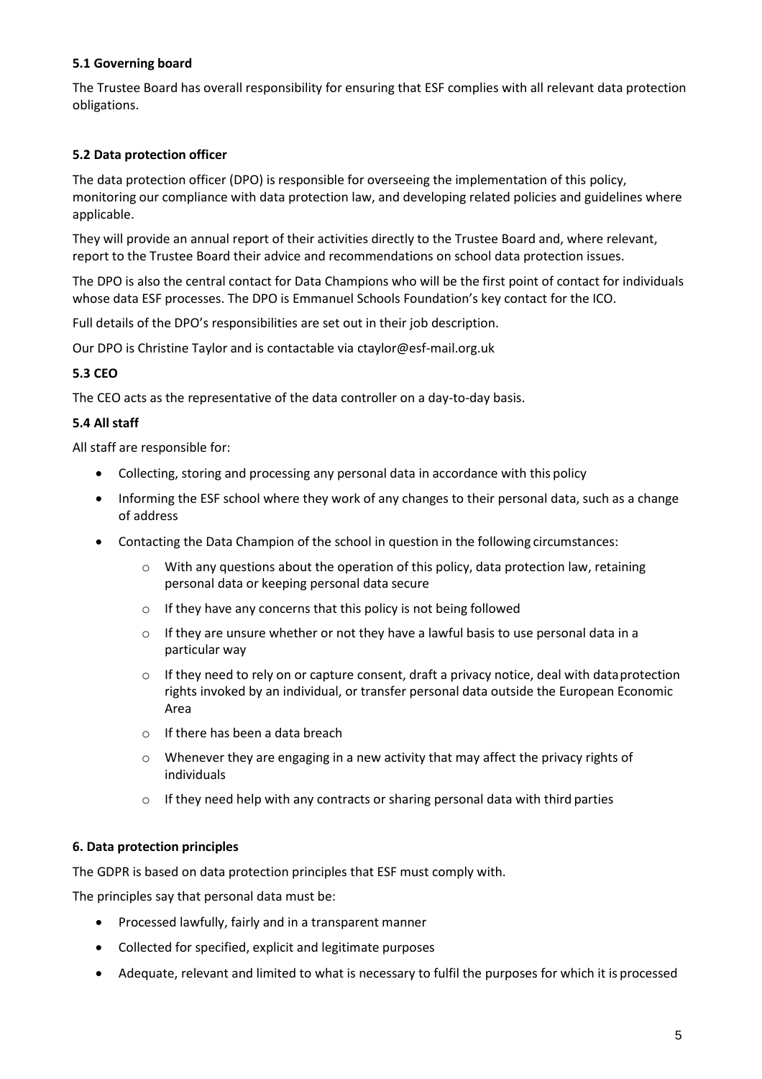#### **5.1 Governing board**

The Trustee Board has overall responsibility for ensuring that ESF complies with all relevant data protection obligations.

#### **5.2 Data protection officer**

The data protection officer (DPO) is responsible for overseeing the implementation of this policy, monitoring our compliance with data protection law, and developing related policies and guidelines where applicable.

They will provide an annual report of their activities directly to the Trustee Board and, where relevant, report to the Trustee Board their advice and recommendations on school data protection issues.

The DPO is also the central contact for Data Champions who will be the first point of contact for individuals whose data ESF processes. The DPO is Emmanuel Schools Foundation's key contact for the ICO.

Full details of the DPO's responsibilities are set out in their job description.

Our DPO is Christine Taylor and is contactable via [ctaylor@esf-mail.org.uk](mailto:ctaylor@esf-mail.org.uk)

#### **5.3 CEO**

The CEO acts as the representative of the data controller on a day-to-day basis.

#### **5.4 All staff**

All staff are responsible for:

- Collecting, storing and processing any personal data in accordance with this policy
- Informing the ESF school where they work of any changes to their personal data, such as a change of address
- Contacting the Data Champion of the school in question in the following circumstances:
	- $\circ$  With any questions about the operation of this policy, data protection law, retaining personal data or keeping personal data secure
	- o If they have any concerns that this policy is not being followed
	- $\circ$  If they are unsure whether or not they have a lawful basis to use personal data in a particular way
	- $\circ$  If they need to rely on or capture consent, draft a privacy notice, deal with data protection rights invoked by an individual, or transfer personal data outside the European Economic Area
	- o If there has been a data breach
	- $\circ$  Whenever they are engaging in a new activity that may affect the privacy rights of individuals
	- $\circ$  If they need help with any contracts or sharing personal data with third parties

#### <span id="page-4-0"></span>**6. Data protection principles**

The GDPR is based on data protection principles that ESF must comply with.

The principles say that personal data must be:

- Processed lawfully, fairly and in a transparent manner
- Collected for specified, explicit and legitimate purposes
- Adequate, relevant and limited to what is necessary to fulfil the purposes for which it is processed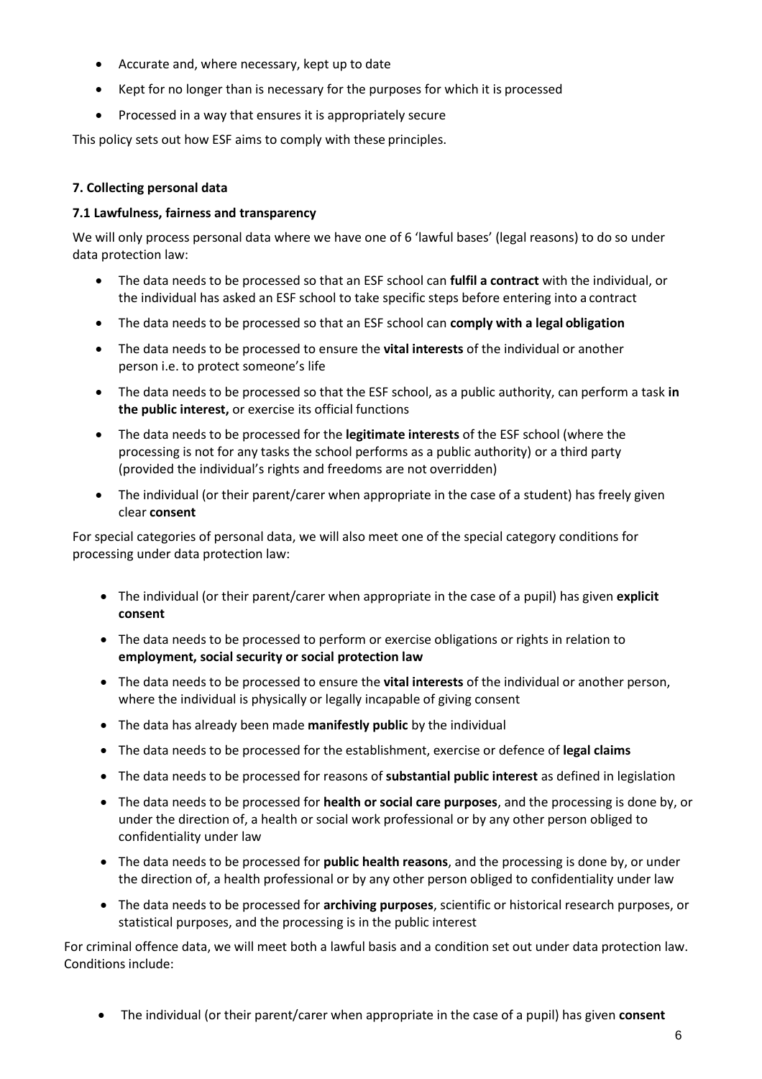- Accurate and, where necessary, kept up to date
- Kept for no longer than is necessary for the purposes for which it is processed
- Processed in a way that ensures it is appropriately secure

This policy sets out how ESF aims to comply with these principles.

#### <span id="page-5-0"></span>**7. Collecting personal data**

#### **7.1 Lawfulness, fairness and transparency**

We will only process personal data where we have one of 6 'lawful bases' (legal reasons) to do so under data protection law:

- The data needs to be processed so that an ESF school can **fulfil a contract** with the individual, or the individual has asked an ESF school to take specific steps before entering into a contract
- The data needs to be processed so that an ESF school can **comply with a legal obligation**
- The data needs to be processed to ensure the **vital interests** of the individual or another person i.e. to protect someone's life
- The data needs to be processed so that the ESF school, as a public authority, can perform a task **in the public interest,** or exercise its official functions
- The data needs to be processed for the **legitimate interests** of the ESF school (where the processing is not for any tasks the school performs as a public authority) or a third party (provided the individual's rights and freedoms are not overridden)
- The individual (or their parent/carer when appropriate in the case of a student) has freely given clear **consent**

For special categories of personal data, we will also meet one of the special category conditions for processing under data protection law:

- The individual (or their parent/carer when appropriate in the case of a pupil) has given **explicit consent**
- The data needs to be processed to perform or exercise obligations or rights in relation to **employment, social security or social protection law**
- The data needs to be processed to ensure the **vital interests** of the individual or another person, where the individual is physically or legally incapable of giving consent
- The data has already been made **manifestly public** by the individual
- The data needs to be processed for the establishment, exercise or defence of **legal claims**
- The data needs to be processed for reasons of **substantial public interest** as defined in legislation
- The data needs to be processed for **health or social care purposes**, and the processing is done by, or under the direction of, a health or social work professional or by any other person obliged to confidentiality under law
- The data needs to be processed for **public health reasons**, and the processing is done by, or under the direction of, a health professional or by any other person obliged to confidentiality under law
- The data needs to be processed for **archiving purposes**, scientific or historical research purposes, or statistical purposes, and the processing is in the public interest

For criminal offence data, we will meet both a lawful basis and a condition set out under data protection law. Conditions include:

• The individual (or their parent/carer when appropriate in the case of a pupil) has given **consent**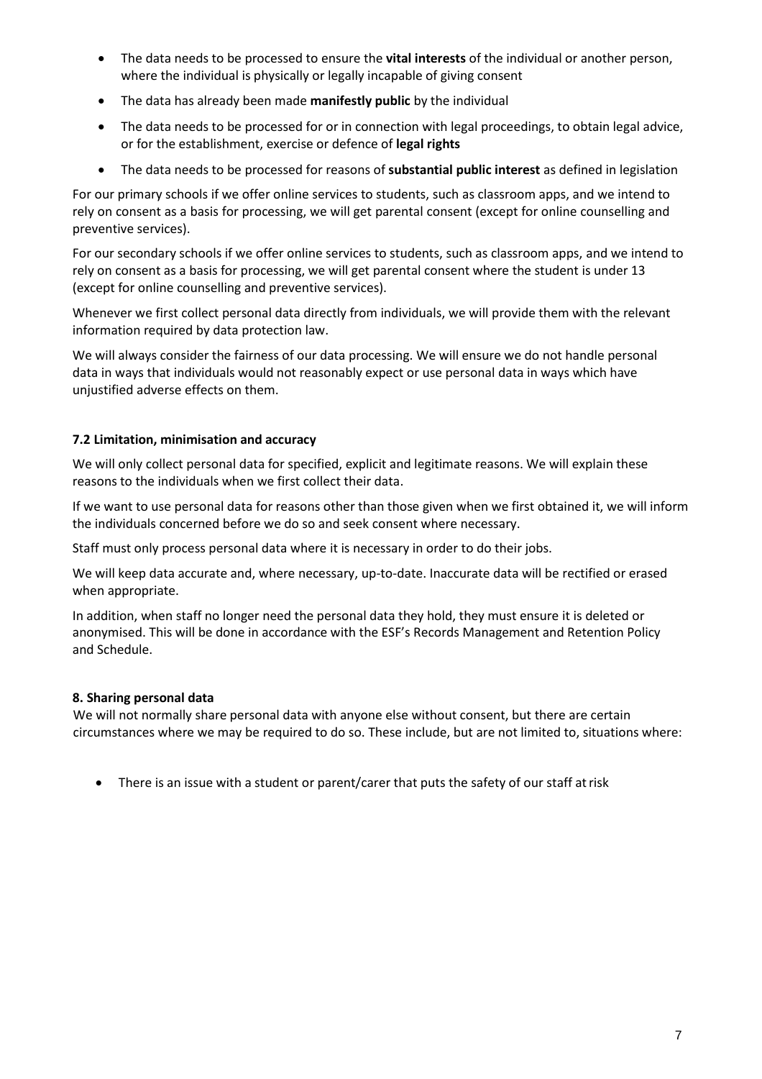- The data needs to be processed to ensure the **vital interests** of the individual or another person, where the individual is physically or legally incapable of giving consent
- The data has already been made **manifestly public** by the individual
- The data needs to be processed for or in connection with legal proceedings, to obtain legal advice, or for the establishment, exercise or defence of **legal rights**
- The data needs to be processed for reasons of **substantial public interest** as defined in legislation

For our primary schools if we offer online services to students, such as classroom apps, and we intend to rely on consent as a basis for processing, we will get parental consent (except for online counselling and preventive services).

For our secondary schools if we offer online services to students, such as classroom apps, and we intend to rely on consent as a basis for processing, we will get parental consent where the student is under 13 (except for online counselling and preventive services).

Whenever we first collect personal data directly from individuals, we will provide them with the relevant information required by data protection law.

We will always consider the fairness of our data processing. We will ensure we do not handle personal data in ways that individuals would not reasonably expect or use personal data in ways which have unjustified adverse effects on them.

#### **7.2 Limitation, minimisation and accuracy**

We will only collect personal data for specified, explicit and legitimate reasons. We will explain these reasons to the individuals when we first collect their data.

If we want to use personal data for reasons other than those given when we first obtained it, we will inform the individuals concerned before we do so and seek consent where necessary.

Staff must only process personal data where it is necessary in order to do their jobs.

We will keep data accurate and, where necessary, up-to-date. Inaccurate data will be rectified or erased when appropriate.

In addition, when staff no longer need the personal data they hold, they must ensure it is deleted or anonymised. This will be done in accordance with the ESF's Records Management and Retention Policy and Schedule.

#### <span id="page-6-0"></span>**8. Sharing personal data**

We will not normally share personal data with anyone else without consent, but there are certain circumstances where we may be required to do so. These include, but are not limited to, situations where:

• There is an issue with a student or parent/carer that puts the safety of our staff at risk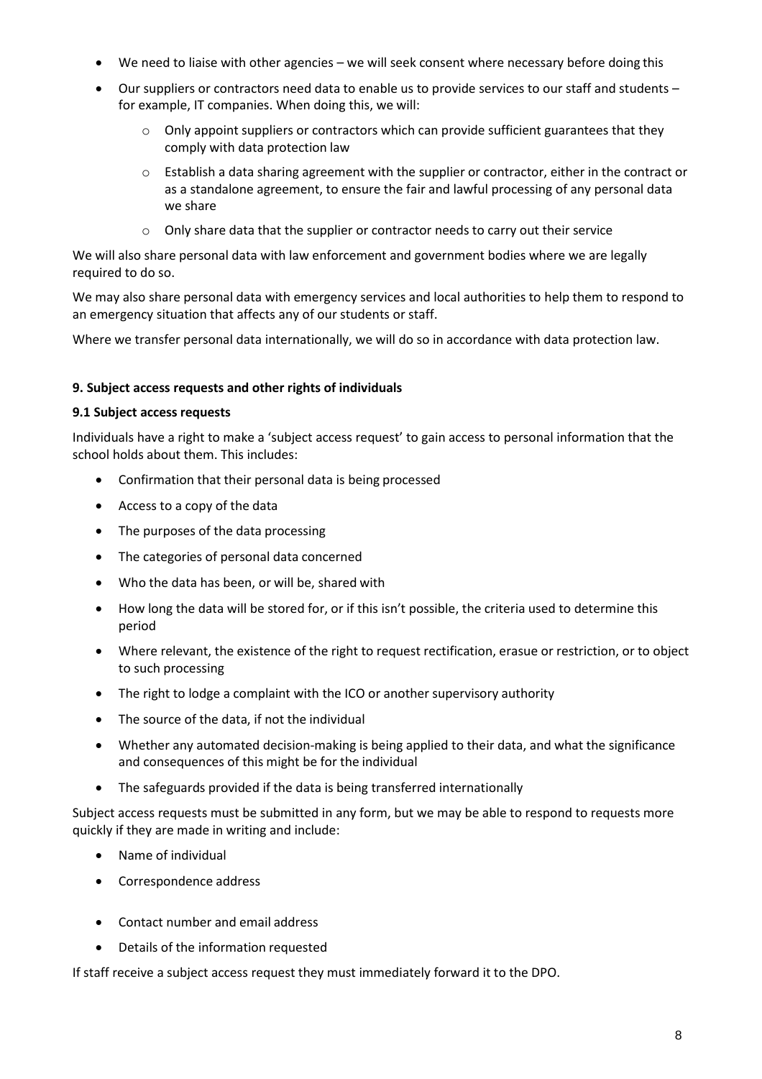- We need to liaise with other agencies we will seek consent where necessary before doing this
- Our suppliers or contractors need data to enable us to provide services to our staff and students for example, IT companies. When doing this, we will:
	- $\circ$  Only appoint suppliers or contractors which can provide sufficient guarantees that they comply with data protection law
	- $\circ$  Establish a data sharing agreement with the supplier or contractor, either in the contract or as a standalone agreement, to ensure the fair and lawful processing of any personal data we share
	- o Only share data that the supplier or contractor needs to carry out their service

We will also share personal data with law enforcement and government bodies where we are legally required to do so.

We may also share personal data with emergency services and local authorities to help them to respond to an emergency situation that affects any of our students or staff.

Where we transfer personal data internationally, we will do so in accordance with data protection law.

#### <span id="page-7-0"></span>**9. Subject access requests and other rights of individuals**

#### **9.1 Subject access requests**

Individuals have a right to make a 'subject access request' to gain access to personal information that the school holds about them. This includes:

- Confirmation that their personal data is being processed
- Access to a copy of the data
- The purposes of the data processing
- The categories of personal data concerned
- Who the data has been, or will be, shared with
- How long the data will be stored for, or if this isn't possible, the criteria used to determine this period
- Where relevant, the existence of the right to request rectification, erasue or restriction, or to object to such processing
- The right to lodge a complaint with the ICO or another supervisory authority
- The source of the data, if not the individual
- Whether any automated decision-making is being applied to their data, and what the significance and consequences of this might be for the individual
- The safeguards provided if the data is being transferred internationally

Subject access requests must be submitted in any form, but we may be able to respond to requests more quickly if they are made in writing and include:

- Name of individual
- Correspondence address
- Contact number and email address
- Details of the information requested

If staff receive a subject access request they must immediately forward it to the DPO.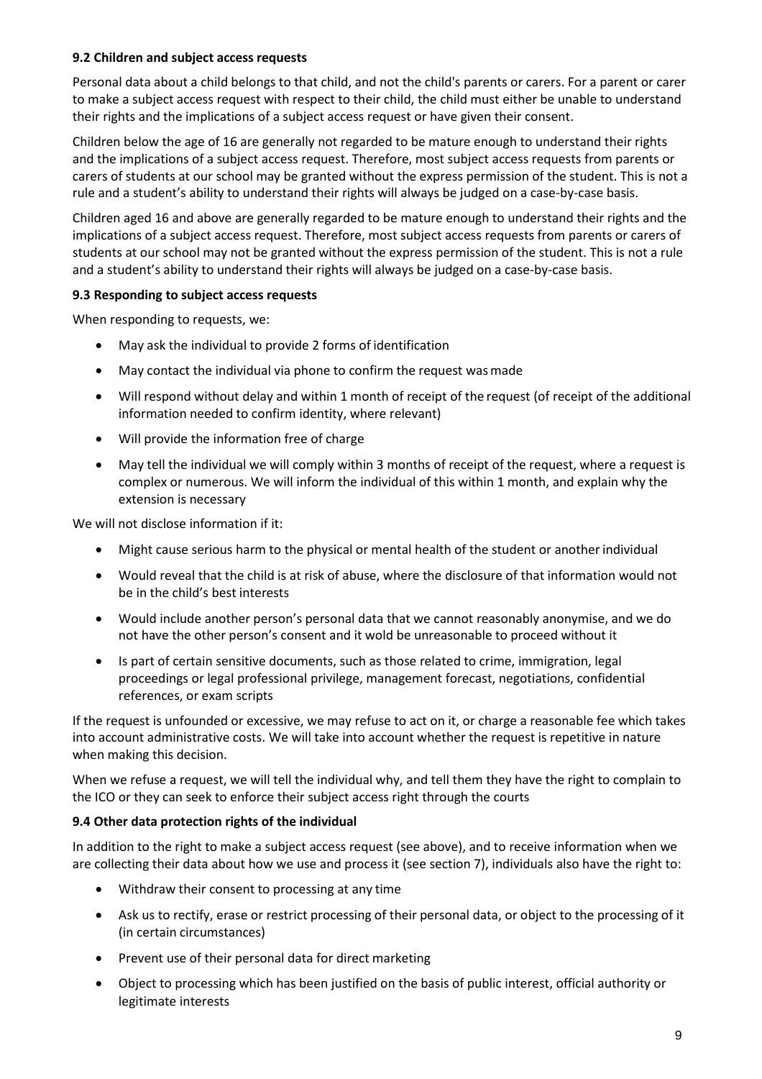#### **9.2 Children and subject access requests**

Personal data about a child belongs to that child, and not the child's parents or carers. For a parent or carer to make a subject access request with respect to their child, the child must either be unable to understand their rights and the implications of a subject access request or have given their consent.

Children below the age of 16 are generally not regarded to be mature enough to understand their rights and the implications of a subject access request. Therefore, most subject access requests from parents or carers of students at our school may be granted without the express permission of the student. This is not a rule and a student's ability to understand their rights will always be judged on a case-by-case basis.

Children aged 16 and above are generally regarded to be mature enough to understand their rights and the implications of a subject access request. Therefore, most subject access requests from parents or carers of students at our school may not be granted without the express permission of the student. This is not a rule and a student's ability to understand their rights will always be judged on a case-by-case basis.

#### **9.3 Responding to subject access requests**

When responding to requests, we:

- May ask the individual to provide 2 forms of identification
- May contact the individual via phone to confirm the request wasmade
- Will respond without delay and within 1 month of receipt of the request (of receipt of the additional information needed to confirm identity, where relevant)
- Will provide the information free of charge
- May tell the individual we will comply within 3 months of receipt of the request, where a request is complex or numerous. We will inform the individual of this within 1 month, and explain why the extension is necessary

We will not disclose information if it:

- Might cause serious harm to the physical or mental health of the student or anotherindividual
- Would reveal that the child is at risk of abuse, where the disclosure of that information would not be in the child's best interests
- Would include another person's personal data that we cannot reasonably anonymise, and we do not have the other person's consent and it wold be unreasonable to proceed without it
- Is part of certain sensitive documents, such as those related to crime, immigration, legal proceedings or legal professional privilege, management forecast, negotiations, confidential references, or exam scripts

If the request is unfounded or excessive, we may refuse to act on it, or charge a reasonable fee which takes into account administrative costs. We will take into account whether the request is repetitive in nature when making this decision.

When we refuse a request, we will tell the individual why, and tell them they have the right to complain to the ICO or they can seek to enforce their subject access right through the courts

#### **9.4 Other data protection rights of the individual**

In addition to the right to make a subject access request (see above), and to receive information when we are collecting their data about how we use and process it (see section 7), individuals also have the right to:

- Withdraw their consent to processing at any time
- Ask us to rectify, erase or restrict processing of their personal data, or object to the processing of it (in certain circumstances)
- Prevent use of their personal data for direct marketing
- Object to processing which has been justified on the basis of public interest, official authority or legitimate interests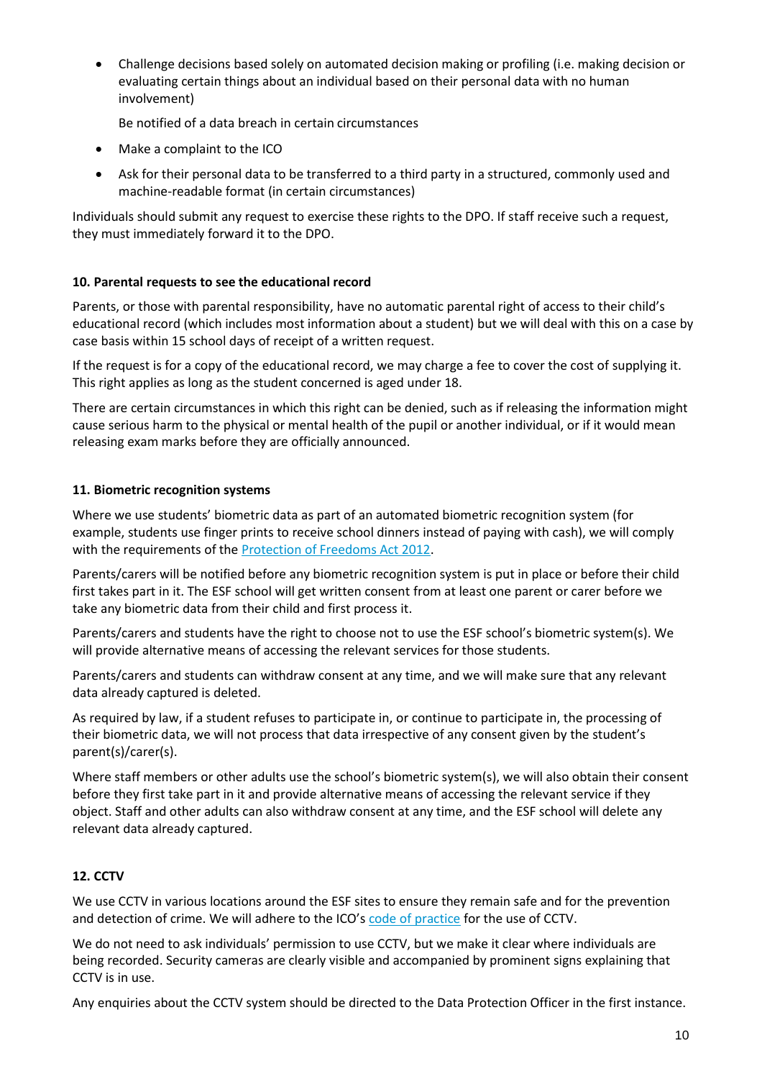• Challenge decisions based solely on automated decision making or profiling (i.e. making decision or evaluating certain things about an individual based on their personal data with no human involvement)

Be notified of a data breach in certain circumstances

- Make a complaint to the ICO
- Ask for their personal data to be transferred to a third party in a structured, commonly used and machine-readable format (in certain circumstances)

Individuals should submit any request to exercise these rights to the DPO. If staff receive such a request, they must immediately forward it to the DPO.

#### <span id="page-9-0"></span>**10. Parental requests to see the educational record**

Parents, or those with parental responsibility, have no automatic parental right of access to their child's educational record (which includes most information about a student) but we will deal with this on a case by case basis within 15 school days of receipt of a written request.

If the request is for a copy of the educational record, we may charge a fee to cover the cost of supplying it. This right applies as long as the student concerned is aged under 18.

There are certain circumstances in which this right can be denied, such as if releasing the information might cause serious harm to the physical or mental health of the pupil or another individual, or if it would mean releasing exam marks before they are officially announced.

#### <span id="page-9-1"></span>**11. Biometric recognition systems**

Where we use students' biometric data as part of an automated biometric recognition system (for example, students use finger prints to receive school dinners instead of paying with cash), we will comply with the requirements of th[e Protection of Freedoms Act 2012.](https://www.legislation.gov.uk/ukpga/2012/9/section/26)

Parents/carers will be notified before any biometric recognition system is put in place or before their child first takes part in it. The ESF school will get written consent from at least one parent or carer before we take any biometric data from their child and first process it.

Parents/carers and students have the right to choose not to use the ESF school's biometric system(s). We will provide alternative means of accessing the relevant services for those students.

Parents/carers and students can withdraw consent at any time, and we will make sure that any relevant data already captured is deleted.

As required by law, if a student refuses to participate in, or continue to participate in, the processing of their biometric data, we will not process that data irrespective of any consent given by the student's parent(s)/carer(s).

Where staff members or other adults use the school's biometric system(s), we will also obtain their consent before they first take part in it and provide alternative means of accessing the relevant service if they object. Staff and other adults can also withdraw consent at any time, and the ESF school will delete any relevant data already captured.

#### <span id="page-9-2"></span>**12. CCTV**

We use CCTV in various locations around the ESF sites to ensure they remain safe and for the prevention and detection of crime. We will adhere to the ICO's [code of practice](https://ico.org.uk/media/for-organisations/documents/1542/cctv-code-of-practice.pdf) for the use of CCTV.

We do not need to ask individuals' permission to use CCTV, but we make it clear where individuals are being recorded. Security cameras are clearly visible and accompanied by prominent signs explaining that CCTV is in use.

Any enquiries about the CCTV system should be directed to the Data Protection Officer in the first instance.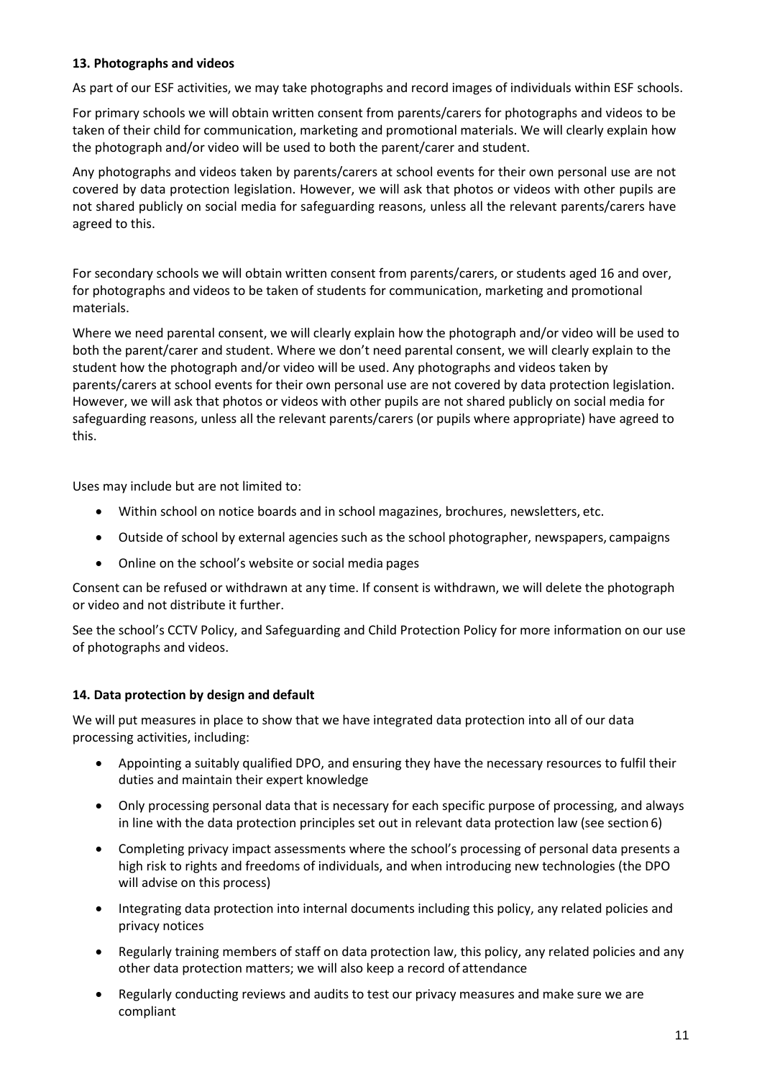#### <span id="page-10-0"></span>**13. Photographs and videos**

As part of our ESF activities, we may take photographs and record images of individuals within ESF schools.

For primary schools we will obtain written consent from parents/carers for photographs and videos to be taken of their child for communication, marketing and promotional materials. We will clearly explain how the photograph and/or video will be used to both the parent/carer and student.

Any photographs and videos taken by parents/carers at school events for their own personal use are not covered by data protection legislation. However, we will ask that photos or videos with other pupils are not shared publicly on social media for safeguarding reasons, unless all the relevant parents/carers have agreed to this.

For secondary schools we will obtain written consent from parents/carers, or students aged 16 and over, for photographs and videos to be taken of students for communication, marketing and promotional materials.

Where we need parental consent, we will clearly explain how the photograph and/or video will be used to both the parent/carer and student. Where we don't need parental consent, we will clearly explain to the student how the photograph and/or video will be used. Any photographs and videos taken by parents/carers at school events for their own personal use are not covered by data protection legislation. However, we will ask that photos or videos with other pupils are not shared publicly on social media for safeguarding reasons, unless all the relevant parents/carers (or pupils where appropriate) have agreed to this.

Uses may include but are not limited to:

- Within school on notice boards and in school magazines, brochures, newsletters, etc.
- Outside of school by external agencies such as the school photographer, newspapers, campaigns
- Online on the school's website or social media pages

Consent can be refused or withdrawn at any time. If consent is withdrawn, we will delete the photograph or video and not distribute it further.

See the school's CCTV Policy, and Safeguarding and Child Protection Policy for more information on our use of photographs and videos.

#### <span id="page-10-1"></span>**14. Data protection by design and default**

We will put measures in place to show that we have integrated data protection into all of our data processing activities, including:

- Appointing a suitably qualified DPO, and ensuring they have the necessary resources to fulfil their duties and maintain their expert knowledge
- Only processing personal data that is necessary for each specific purpose of processing, and always in line with the data protection principles set out in relevant data protection law (see section 6)
- Completing privacy impact assessments where the school's processing of personal data presents a high risk to rights and freedoms of individuals, and when introducing new technologies (the DPO will advise on this process)
- Integrating data protection into internal documents including this policy, any related policies and privacy notices
- Regularly training members of staff on data protection law, this policy, any related policies and any other data protection matters; we will also keep a record of attendance
- Regularly conducting reviews and audits to test our privacy measures and make sure we are compliant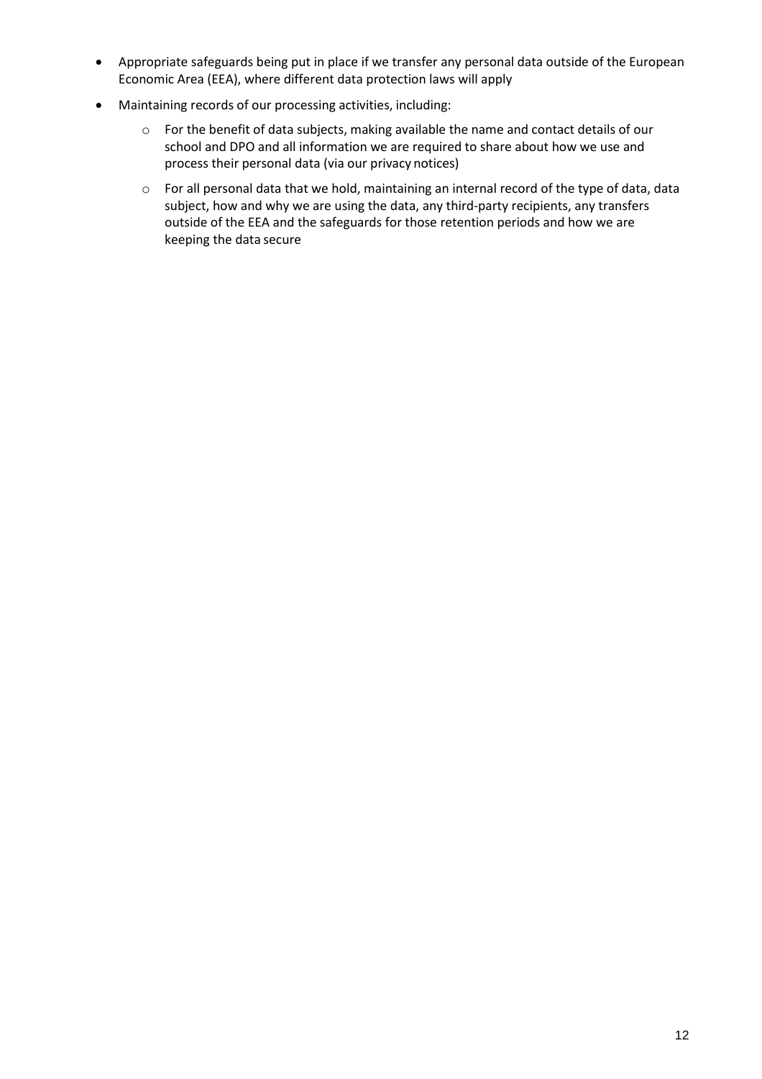- Appropriate safeguards being put in place if we transfer any personal data outside of the European Economic Area (EEA), where different data protection laws will apply
- Maintaining records of our processing activities, including:
	- o For the benefit of data subjects, making available the name and contact details of our school and DPO and all information we are required to share about how we use and process their personal data (via our privacy notices)
	- o For all personal data that we hold, maintaining an internal record of the type of data, data subject, how and why we are using the data, any third-party recipients, any transfers outside of the EEA and the safeguards for those retention periods and how we are keeping the data secure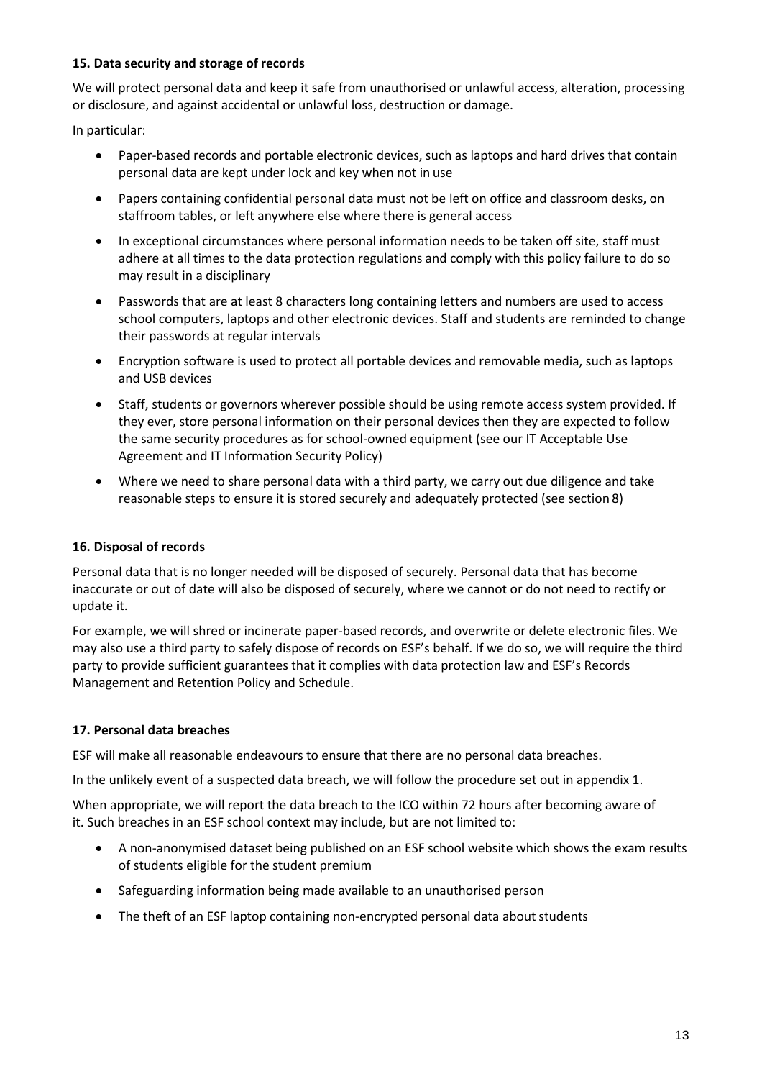#### <span id="page-12-0"></span>**15. Data security and storage of records**

We will protect personal data and keep it safe from unauthorised or unlawful access, alteration, processing or disclosure, and against accidental or unlawful loss, destruction or damage.

In particular:

- Paper-based records and portable electronic devices, such as laptops and hard drives that contain personal data are kept under lock and key when not in use
- Papers containing confidential personal data must not be left on office and classroom desks, on staffroom tables, or left anywhere else where there is general access
- In exceptional circumstances where personal information needs to be taken off site, staff must adhere at all times to the data protection regulations and comply with this policy failure to do so may result in a disciplinary
- Passwords that are at least 8 characters long containing letters and numbers are used to access school computers, laptops and other electronic devices. Staff and students are reminded to change their passwords at regular intervals
- Encryption software is used to protect all portable devices and removable media, such as laptops and USB devices
- Staff, students or governors wherever possible should be using remote access system provided. If they ever, store personal information on their personal devices then they are expected to follow the same security procedures as for school-owned equipment (see our IT Acceptable Use Agreement and IT Information Security Policy)
- Where we need to share personal data with a third party, we carry out due diligence and take reasonable steps to ensure it is stored securely and adequately protected (see section 8)

#### <span id="page-12-1"></span>**16. Disposal of records**

Personal data that is no longer needed will be disposed of securely. Personal data that has become inaccurate or out of date will also be disposed of securely, where we cannot or do not need to rectify or update it.

For example, we will shred or incinerate paper-based records, and overwrite or delete electronic files. We may also use a third party to safely dispose of records on ESF's behalf. If we do so, we will require the third party to provide sufficient guarantees that it complies with data protection law and ESF's Records Management and Retention Policy and Schedule.

#### <span id="page-12-2"></span>**17. Personal data breaches**

ESF will make all reasonable endeavours to ensure that there are no personal data breaches.

In the unlikely event of a suspected data breach, we will follow the procedure set out in appendix 1.

When appropriate, we will report the data breach to the ICO within 72 hours after becoming aware of it. Such breaches in an ESF school context may include, but are not limited to:

- A non-anonymised dataset being published on an ESF school website which shows the exam results of students eligible for the student premium
- Safeguarding information being made available to an unauthorised person
- The theft of an ESF laptop containing non-encrypted personal data about students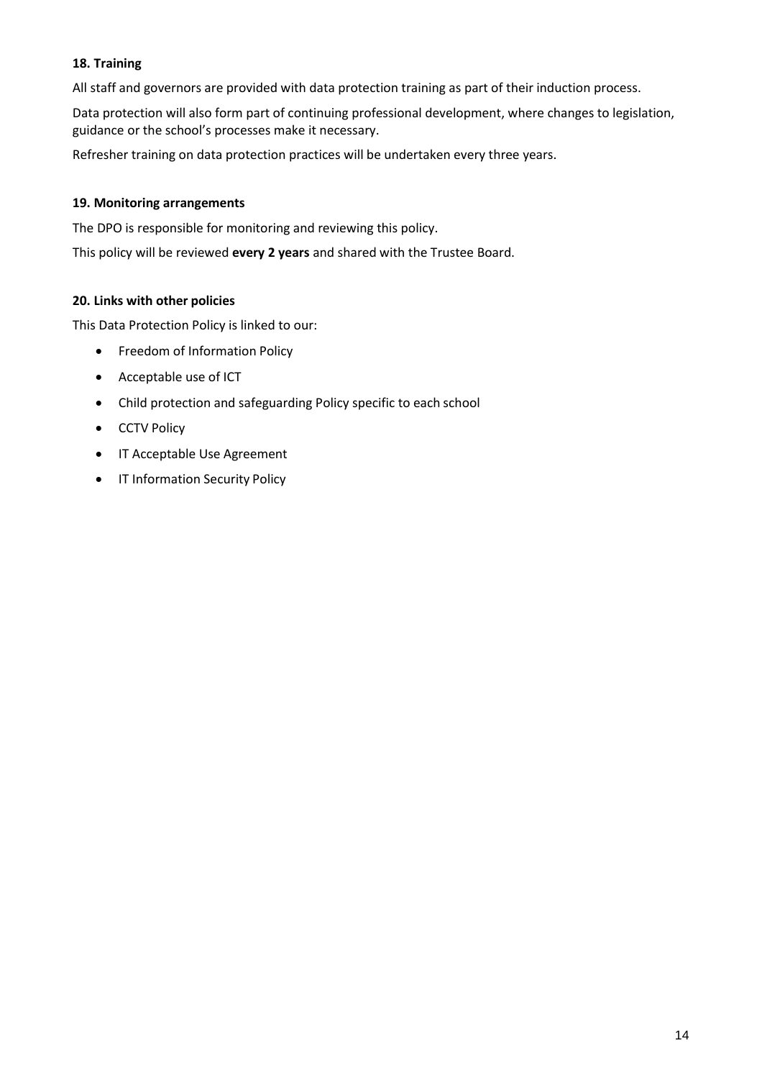#### <span id="page-13-0"></span>**18. Training**

All staff and governors are provided with data protection training as part of their induction process.

Data protection will also form part of continuing professional development, where changes to legislation, guidance or the school's processes make it necessary.

Refresher training on data protection practices will be undertaken every three years.

#### <span id="page-13-1"></span>**19. Monitoring arrangements**

The DPO is responsible for monitoring and reviewing this policy.

This policy will be reviewed **every 2 years** and shared with the Trustee Board.

#### <span id="page-13-2"></span>**20. Links with other policies**

This Data Protection Policy is linked to our:

- Freedom of Information Policy
- Acceptable use of ICT
- Child protection and safeguarding Policy specific to each school
- CCTV Policy
- IT Acceptable Use Agreement
- IT Information Security Policy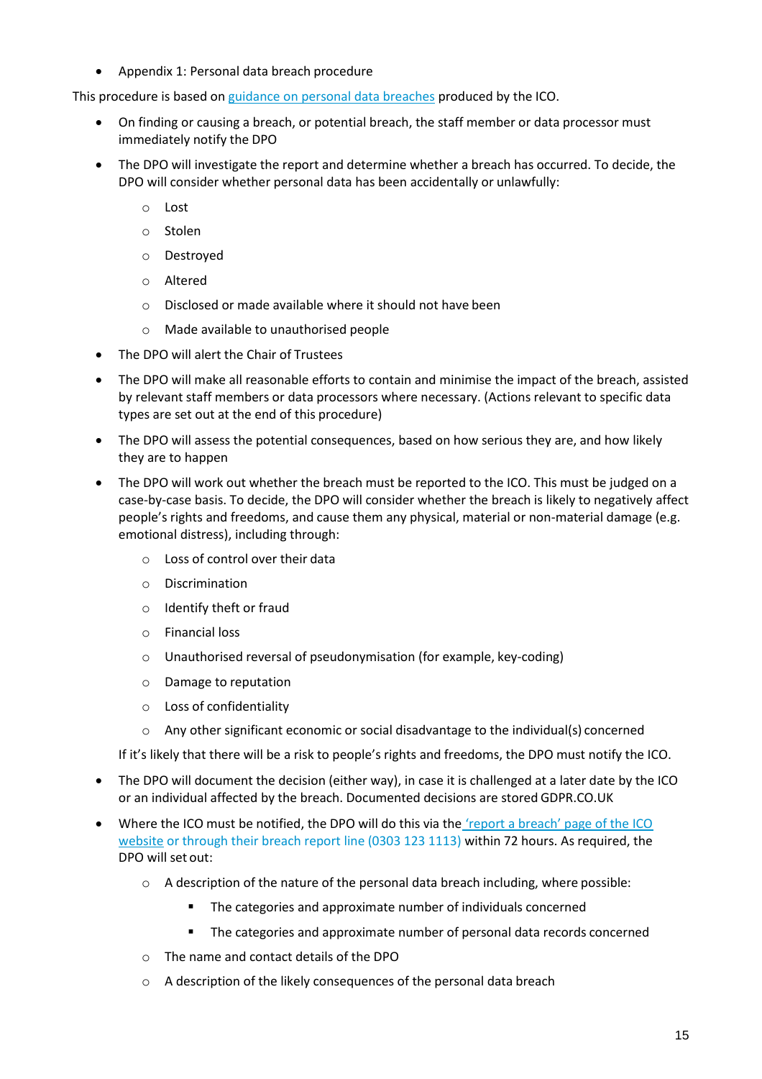• Appendix 1: Personal data breach procedure

This procedure is based o[n guidance on personal data breaches](https://ico.org.uk/for-organisations/guide-to-the-general-data-protection-regulation-gdpr/personal-data-breaches/) produced by the ICO.

- On finding or causing a breach, or potential breach, the staff member or data processor must immediately notify the DPO
- The DPO will investigate the report and determine whether a breach has occurred. To decide, the DPO will consider whether personal data has been accidentally or unlawfully:
	- o Lost
	- o Stolen
	- o Destroyed
	- o Altered
	- o Disclosed or made available where it should not have been
	- o Made available to unauthorised people
- The DPO will alert the Chair of Trustees
- The DPO will make all reasonable efforts to contain and minimise the impact of the breach, assisted by relevant staff members or data processors where necessary. (Actions relevant to specific data types are set out at the end of this procedure)
- The DPO will assess the potential consequences, based on how serious they are, and how likely they are to happen
- The DPO will work out whether the breach must be reported to the ICO. This must be judged on a case-by-case basis. To decide, the DPO will consider whether the breach is likely to negatively affect people's rights and freedoms, and cause them any physical, material or non-material damage (e.g. emotional distress), including through:
	- o Loss of control over their data
	- o Discrimination
	- o Identify theft or fraud
	- o Financial loss
	- o Unauthorised reversal of pseudonymisation (for example, key-coding)
	- o Damage to reputation
	- o Loss of confidentiality
	- o Any other significant economic or social disadvantage to the individual(s) concerned

If it's likely that there will be a risk to people's rights and freedoms, the DPO must notify the ICO.

- The DPO will document the decision (either way), in case it is challenged at a later date by the ICO or an individual affected by the breach. Documented decisions are stored GDPR.CO.UK
- Where the ICO must be notified, the DPO will do this via the ['report a breach' page of the ICO](https://ico.org.uk/for-organisations/report-a-breach/) [website](https://ico.org.uk/for-organisations/report-a-breach/) or through their breach report line (0303 123 1113) within 72 hours. As required, the DPO will set out:
	- $\circ$  A description of the nature of the personal data breach including, where possible:
		- The categories and approximate number of individuals concerned
		- The categories and approximate number of personal data records concerned
	- o The name and contact details of the DPO
	- $\circ$  A description of the likely consequences of the personal data breach